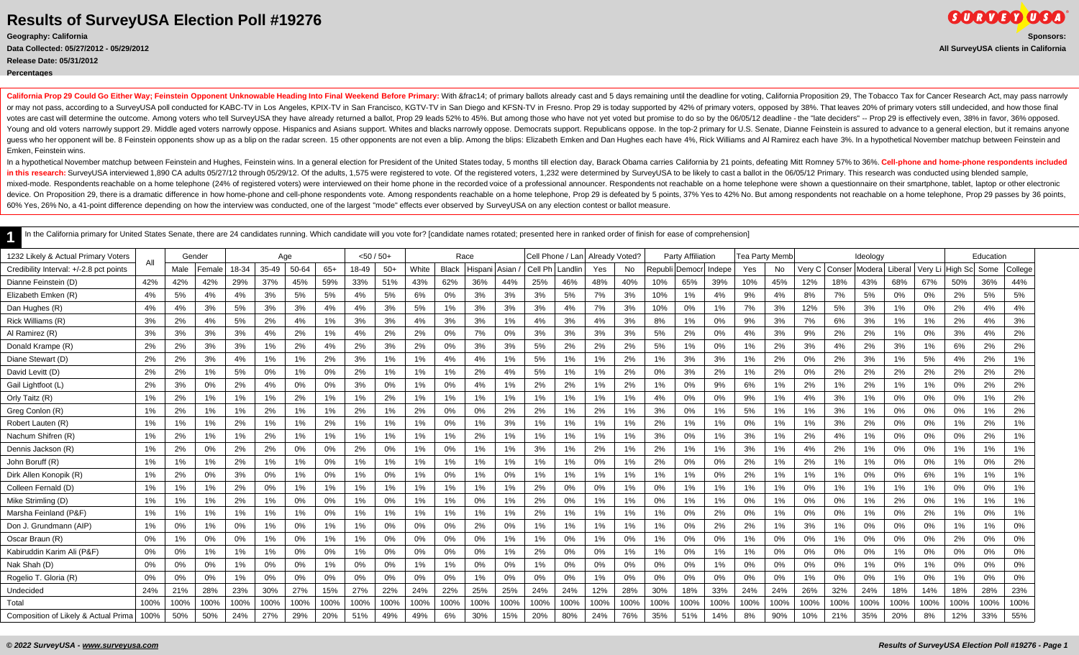#### **Release Date: 05/31/2012**

**Percentages**

California Prop 29 Could Go Either Way; Feinstein Opponent Unknowable Heading Into Final Weekend Before Primary: With ¼ of primary callots already cast and 5 days remaining until the deadline for voting, California or may not pass, according to a SurveyUSA poll conducted for KABC-TV in Los Angeles, KPIX-TV in San Francisco, KGTV-TV in San Diego and KFSN-TV in Fresno. Prop 29 is today supported by 42% of primary voters, opposed by 38% votes are cast will determine the outcome. Among voters who tell SurveyUSA they have already returned a ballot, Prop 29 leads 52% to 45%. But among those who have not yet voted but promise to do so by the 06/05/12 deadline Young and old voters narrowly support 29. Middle aged voters narrowly oppose. Hispanics and Asians support. Whites and blacks narrowly oppose. Democrats support. Republicans oppose. In the top-2 primary for U.S. Senate, Di quess who her opponent will be. 8 Feinstein opponents show up as a blip on the radar screen. 15 other opponents are not even a blip. Among the blips: Elizabeth Emken and Dan Hughes each have 4%. Rick Williams and Al Ramire Emken, Feinstein wins.

In a hypothetical November matchup between Feinstein and Hughes, Feinstein wins. In a general election for President of the United States today, 5 months till election day, Barack Obama carries California by 21 points, def in this research: SurveyUSA interviewed 1,890 CA adults 05/27/12 through 05/29/12. Of the adults, 1,575 were registered to vote. Of the registered to vote. Of the registered voters, 1,232 were determined by SurveyUSA to be mixed-mode. Respondents reachable on a home telephone (24% of registered voters) were interviewed on their home phone in the recorded voice of a professional announcer. Respondents not reachable on a home telephone were sh device. On Proposition 29, there is a dramatic difference in how home-phone and cell-phone respondents vote. Among respondents sachable on a home telephone, Prop 29 is defeated by 5 points, 37% Yes to 42% No. But among res 60% Yes, 26% No, a 41-point difference depending on how the interview was conducted, one of the largest "mode" effects ever observed by SurveyUSA on any election contest or ballot measure.

| 1232 Likely & Actual Primary Voters     | All  | Gender |       |       |       | Age   |       | $<$ 50 / 50+ |       |       | Race         |         |           |         | Cell Phone / Lani | Already Voted? |       |         | <b>Party Affiliation</b> |        | Tea Party Memb |      |        |        | Ideology |         |       |                 | Education |         |
|-----------------------------------------|------|--------|-------|-------|-------|-------|-------|--------------|-------|-------|--------------|---------|-----------|---------|-------------------|----------------|-------|---------|--------------------------|--------|----------------|------|--------|--------|----------|---------|-------|-----------------|-----------|---------|
| Credibility Interval: +/-2.8 pct points |      | Male   | Femal | 18-34 | 35-49 | 50-64 | $65+$ | 18-49        | $50+$ | White | <b>Black</b> | Hispani | l Asian i | Cell Ph | Landlin           | Yes            | No    | Republi | Democr                   | Indepe | Yes            | No   | √ery C | Conser | Modera   | Liberal |       | Very Li High Sc | Some      | College |
| Dianne Feinstein (D)                    | 42%  | 42%    | 42%   | 29%   | 37%   | 45%   | 59%   | 33%          | 51%   | 43%   | 62%          | 36%     | 44%       | 25%     | 46%               | 48%            | 40%   | 10%     | 65%                      | 39%    | 10%            | 45%  | 12%    | 18%    | 43%      | 68%     | 67%   | 50%             | 36%       | 44%     |
| Elizabeth Emken (R)                     | 4%   | 5%     | 4%    | 4%    | 3%    | 5%    | 5%    | 4%           | 5%    | 6%    | 0%           | 3%      | 3%        | 3%      | 5%                | 7%             | 3%    | 10%     | 1%                       | 4%     | 9%             | 4%   | 8%     | 7%     | 5%       | 0%      | 0%    | 2%              | 5%        | 5%      |
| Dan Hughes (R)                          | 4%   | 4%     | 3%    | 5%    | 3%    | 3%    | 4%    | 4%           | 3%    | 5%    | 1%           | 3%      | 3%        | 3%      | 4%                | 7%             | 3%    | 10%     | 0%                       | 1%     | 7%             | 3%   | 12%    | 5%     | 3%       | 1%      | 0%    | 2%              | 4%        | 4%      |
| Rick Williams (R)                       | 3%   | 2%     | 4%    | 5%    | 2%    | 4%    | 1%    | 3%           | 3%    | 4%    | 3%           | 3%      | 1%        | 4%      | 3%                | 4%             | 3%    | 8%      | 1%                       | 0%     | 9%             | 3%   | 7%     | 6%     | 3%       | 1%      | 1%    | 2%              | 4%        | 3%      |
| Al Ramirez (R)                          | 3%   | 3%     | 3%    | 3%    | 4%    | 2%    | 1%    | 4%           | 2%    | 2%    | 0%           | 7%      | 0%        | 3%      | 3%                | 3%             | 3%    | 5%      | 2%                       | 0%     | 4%             | 3%   | 9%     | 2%     | 2%       | 1%      | 0%    | 3%              | 4%        | 2%      |
| Donald Krampe (R)                       | 2%   | 2%     | 3%    | 3%    | 1%    | 2%    | 4%    | 2%           | 3%    | 2%    | 0%           | 3%      | 3%        | 5%      | 2%                | 2%             | 2%    | 5%      | $1\%$                    | 0%     | 1%             | 2%   | 3%     | 4%     | 2%       | 3%      | 1%    | 6%              | 2%        | 2%      |
| Diane Stewart (D)                       | 2%   | 2%     | 3%    | 4%    | 1%    | $1\%$ | 2%    | 3%           | 1%    | 1%    | 4%           | 4%      | 1%        | 5%      | $1\%$             | 1%             | 2%    | 1%      | 3%                       | 3%     | 1%             | 2%   | 0%     | 2%     | 3%       | 1%      | 5%    | 4%              | 2%        | 1%      |
| David Levitt (D)                        | 2%   | 2%     | 1%    | 5%    | $0\%$ | $1\%$ | 0%    | 2%           | 1%    | 1%    | 1%           | 2%      | 4%        | 5%      | $1\%$             | 1%             | 2%    | 0%      | 3%                       | 2%     | 1%             | 2%   | 0%     | 2%     | 2%       | 2%      | 2%    | 2%              | 2%        | 2%      |
| Gail Lightfoot (L                       | 2%   | 3%     | 0%    | 2%    | 4%    | 0%    | 0%    | 3%           | 0%    | 1%    | 0%           | 4%      | $1\%$     | 2%      | 2%                | 1%             | 2%    | 1%      | 0%                       | 9%     | 6%             | 1%   | 2%     | 1%     | 2%       | 1%      | 1%    | 0%              | 2%        | 2%      |
| Orly Taitz (R)                          | 1%   | 2%     | 1%    | 1%    | 1%    | 2%    | 1%    | 1%           | 2%    | 1%    | 1%           | 1%      | $1\%$     | 1%      | $1\%$             | 1%             | $1\%$ | 4%      | 0%                       | 0%     | 9%             | 1%   | 4%     | 3%     | $1\%$    | 0%      | $0\%$ | 0%              | 1%        | 2%      |
| Greg Conlon (R)                         | 1%   | 2%     | 1%    | $1\%$ | 2%    | $1\%$ | 1%    | 2%           | $1\%$ | 2%    | 0%           | 0%      | 2%        | 2%      | $1\%$             | 2%             | $1\%$ | 3%      | 0%                       | 1%     | 5%             | 1%   | 1%     | 3%     | $1\%$    | 0%      | 0%    | 0%              | 1%        | 2%      |
| Robert Lauten (R)                       | 1%   | 1%     | 1%    | 2%    | 1%    | 1%    | 2%    | 1%           | 1%    | 1%    | 0%           | 1%      | 3%        | 1%      | $1\%$             | 1%             | 1%    | 2%      | 1%                       | 1%     | 0%             | 1%   | 1%     | 3%     | 2%       | 0%      | 0%    | 1%              | 2%        | $1\%$   |
| Nachum Shifren (R)                      | 1%   | 2%     | 1%    | $1\%$ | 2%    | $1\%$ | 1%    | 1%           | $1\%$ | 1%    | 1%           | 2%      | 1%        | 1%      | $1\%$             | 1%             | $1\%$ | 3%      | 0%                       | 1%     | 3%             | 1%   | 2%     | 4%     | $1\%$    | 0%      | 0%    | 0%              | 2%        | $1\%$   |
| Dennis Jackson (R)                      | 1%   | 2%     | 0%    | 2%    | 2%    | 0%    | 0%    | 2%           | 0%    | 1%    | 0%           | $1\%$   | $1\%$     | 3%      | $1\%$             | 2%             | $1\%$ | 2%      | 1%                       | 1%     | 3%             | 1%   | 4%     | 2%     | $1\%$    | 0%      | 0%    | 1%              | 1%        | $1\%$   |
| John Boruff (R)                         | 1%   | 1%     | 1%    | 2%    | 1%    | $1\%$ | 0%    | 1%           | 1%    | $1\%$ | 1%           | 1%      | 1%        | 1%      | $1\%$             | 0%             | 1%    | 2%      | 0%                       | 0%     | 2%             | 1%   | 2%     | 1%     | $1\%$    | 0%      | 0%    | 1%              | 0%        | 2%      |
| Dirk Allen Konopik (R)                  | 1%   | 2%     | 0%    | 3%    | 0%    | 1%    | 0%    | 1%           | 0%    | 1%    | 0%           | 1%      | 0%        | 1%      | 1%                | 1%             | 1%    | 1%      | 1%                       | 0%     | 2%             | 1%   | 1%     | 1%     | 0%       | 0%      | 6%    | 1%              | $1\%$     | 1%      |
| Colleen Fernald (D)                     | 1%   | 1%     | 1%    | 2%    | 0%    | 1%    | 1%    | 1%           | 1%    | 1%    | 1%           | 1%      | $1\%$     | 2%      | 0%                | 0%             | $1\%$ | 0%      | 1%                       | 1%     | 1%             | 1%   | 0%     | 1%     | 1%       | 1%      | 1%    | 0%              | 0%        | 1%      |
| Mike Strimling (D)                      | 1%   | $1\%$  | 1%    | 2%    | 1%    | 0%    | 0%    | 1%           | 0%    | 1%    | 1%           | 0%      | 1%        | 2%      | 0%                | 1%             | 1%    | 0%      | 1%                       | 1%     | 0%             | 1%   | 0%     | 0%     | 1%       | 2%      | 0%    | 1%              | 1%        | 1%      |
| Marsha Feinland (P&F)                   | 1%   | $1\%$  | 1%    | $1\%$ | 1%    | $1\%$ | 0%    | 1%           | 1%    | 1%    | 1%           | 1%      | 1%        | 2%      | $1\%$             | 1%             | 1%    | 1%      | 0%                       | 2%     | 0%             | 1%   | 0%     | 0%     | 1%       | 0%      | 2%    | 1%              | 0%        | 1%      |
| Don J. Grundmann (AIP)                  | 1%   | 0%     | 1%    | 0%    | 1%    | 0%    | 1%    | 1%           | 0%    | 0%    | 0%           | 2%      | 0%        | 1%      | $1\%$             | 1%             | 1%    | 1%      | 0%                       | 2%     | 2%             | 1%   | 3%     | 1%     | 0%       | 0%      | 0%    | $1\%$           | 1%        | 0%      |
| Oscar Braun (R)                         | 0%   | $1\%$  | 0%    | 0%    | 1%    | 0%    | 1%    | 1%           | 0%    | 0%    | 0%           | 0%      | $1\%$     | 1%      | 0%                | 1%             | 0%    | 1%      | 0%                       | 0%     | 1%             | 0%   | 0%     | 1%     | 0%       | 0%      | 0%    | 2%              | 0%        | 0%      |
| Kabiruddin Karim Ali (P&F)              | 0%   | 0%     | 1%    | 1%    | 1%    | 0%    | 0%    | 1%           | 0%    | 0%    | 0%           | 0%      | $1\%$     | 2%      | 0%                | 0%             | $1\%$ | 1%      | 0%                       | 1%     | 1%             | 0%   | 0%     | 0%     | 0%       | 1%      | 0%    | 0%              | 0%        | 0%      |
| Nak Shah (D)                            | 0%   | $0\%$  | 0%    | 1%    | 0%    | 0%    | 1%    | 0%           | 0%    | 1%    | 1%           | 0%      | 0%        | 1%      | 0%                | 0%             | 0%    | 0%      | 0%                       | 1%     | 0%             | 0%   | 0%     | 0%     | 1%       | 0%      | 1%    | 0%              | 0%        | 0%      |
| Rogelio T. Gloria (R)                   | 0%   | 0%     | 0%    | 1%    | 0%    | 0%    | 0%    | $0\%$        | 0%    | 0%    | 0%           | 1%      | $0\%$     | 0%      | 0%                | 1%             | 0%    | 0%      | $0\%$                    | 0%     | 0%             | 0%   | 1%     | 0%     | 0%       | 1%      | 0%    | 1%              | 0%        | 0%      |
| Undecided                               | 24%  | 21%    | 28%   | 23%   | 30%   | 27%   | 15%   | 27%          | 22%   | 24%   | 22%          | 25%     | 25%       | 24%     | 24%               | 12%            | 28%   | 30%     | 18%                      | 33%    | 24%            | 24%  | 26%    | 32%    | 24%      | 18%     | 14%   | 18%             | 28%       | 23%     |
| Total                                   | 100% | 100%   | 100%  | 100%  | 100%  | 100%  | 100%  | 100%         | 100%  | 100%  | 100%         | 100%    | 100%      | 100%    | 100%              | 100%           | 100%  | 100%    | 100%                     | 100%   | 100%           | 100% | 100%   | 100%   | 100%     | 100%    | 100%  | 100%            | 100%      | 100%    |
| Composition of Likely & Actual Prima    | 100% | 50%    | 50%   | 24%   | 27%   | 29%   | 20%   | 51%          | 49%   | 49%   | 6%           | 30%     | 15%       | 20%     | 80%               | 24%            | 76%   | 35%     | 51%                      | 14%    | 8%             | 90%  | 10%    | 21%    | 35%      | 20%     | 8%    | 12%             | 33%       | 55%     |
|                                         |      |        |       |       |       |       |       |              |       |       |              |         |           |         |                   |                |       |         |                          |        |                |      |        |        |          |         |       |                 |           |         |

In the California primary for United States Senate, there are 24 candidates running. Which candidate will you vote for? [candidate names rotated; presented here in ranked order of finish for ease of comprehension]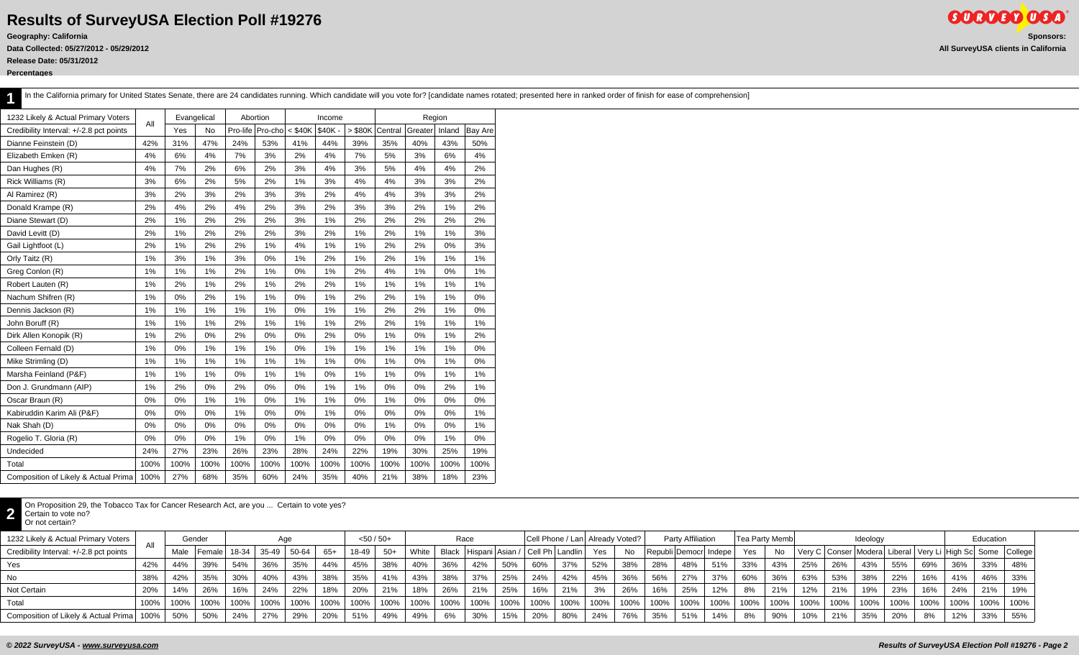**Release Date: 05/31/2012**

**Percentages**

|  | In the California primary for United States Senate, there are 24 candidates running. Which candidate will you vote for? [candidate names rotated; presented here in ranked order of finish for ease of comprehension] |  |  |  |  |
|--|-----------------------------------------------------------------------------------------------------------------------------------------------------------------------------------------------------------------------|--|--|--|--|
|--|-----------------------------------------------------------------------------------------------------------------------------------------------------------------------------------------------------------------------|--|--|--|--|

| 1232 Likely & Actual Primary Voters     |      | Evangelical |      | Abortion |         |           | Income  |           |         | Region  |        |                |
|-----------------------------------------|------|-------------|------|----------|---------|-----------|---------|-----------|---------|---------|--------|----------------|
| Credibility Interval: +/-2.8 pct points | All  | Yes         | No   | Pro-life | Pro-cho | $<$ \$40K | \$40K - | $>$ \$80K | Central | Greater | Inland | <b>Bay Are</b> |
| Dianne Feinstein (D)                    | 42%  | 31%         | 47%  | 24%      | 53%     | 41%       | 44%     | 39%       | 35%     | 40%     | 43%    | 50%            |
| Elizabeth Emken (R)                     | 4%   | 6%          | 4%   | 7%       | 3%      | 2%        | 4%      | 7%        | 5%      | 3%      | 6%     | 4%             |
| Dan Hughes (R)                          | 4%   | 7%          | 2%   | 6%       | 2%      | 3%        | 4%      | 3%        | 5%      | 4%      | 4%     | 2%             |
| Rick Williams (R)                       | 3%   | 6%          | 2%   | 5%       | 2%      | 1%        | 3%      | 4%        | 4%      | 3%      | 3%     | 2%             |
| Al Ramirez (R)                          | 3%   | 2%          | 3%   | 2%       | 3%      | 3%        | 2%      | 4%        | 4%      | 3%      | 3%     | 2%             |
| Donald Krampe (R)                       | 2%   | 4%          | 2%   | 4%       | 2%      | 3%        | 2%      | 3%        | 3%      | 2%      | 1%     | 2%             |
| Diane Stewart (D)                       | 2%   | 1%          | 2%   | 2%       | 2%      | 3%        | 1%      | 2%        | 2%      | 2%      | 2%     | 2%             |
| David Levitt (D)                        | 2%   | 1%          | 2%   | 2%       | 2%      | 3%        | 2%      | 1%        | 2%      | 1%      | 1%     | 3%             |
| Gail Lightfoot (L)                      | 2%   | 1%          | 2%   | 2%       | 1%      | 4%        | 1%      | 1%        | 2%      | 2%      | 0%     | 3%             |
| Orly Taitz (R)                          | 1%   | 3%          | 1%   | 3%       | 0%      | 1%        | 2%      | 1%        | 2%      | 1%      | 1%     | 1%             |
| Greg Conlon (R)                         | 1%   | 1%          | 1%   | 2%       | 1%      | 0%        | 1%      | 2%        | 4%      | 1%      | 0%     | 1%             |
| Robert Lauten (R)                       | 1%   | 2%          | 1%   | 2%       | 1%      | 2%        | 2%      | 1%        | 1%      | 1%      | 1%     | 1%             |
| Nachum Shifren (R)                      | 1%   | 0%          | 2%   | 1%       | 1%      | 0%        | 1%      | 2%        | 2%      | 1%      | 1%     | 0%             |
| Dennis Jackson (R)                      | 1%   | 1%          | 1%   | 1%       | 1%      | 0%        | 1%      | 1%        | 2%      | 2%      | 1%     | 0%             |
| John Boruff (R)                         | 1%   | 1%          | 1%   | 2%       | 1%      | 1%        | 1%      | 2%        | 2%      | 1%      | 1%     | 1%             |
| Dirk Allen Konopik (R)                  | 1%   | 2%          | 0%   | 2%       | 0%      | 0%        | 2%      | 0%        | 1%      | 0%      | 1%     | 2%             |
| Colleen Fernald (D)                     | 1%   | 0%          | 1%   | 1%       | 1%      | 0%        | 1%      | 1%        | 1%      | 1%      | 1%     | 0%             |
| Mike Strimling (D)                      | 1%   | 1%          | 1%   | 1%       | 1%      | 1%        | 1%      | 0%        | 1%      | 0%      | 1%     | 0%             |
| Marsha Feinland (P&F)                   | 1%   | 1%          | 1%   | 0%       | 1%      | 1%        | 0%      | 1%        | 1%      | 0%      | 1%     | 1%             |
| Don J. Grundmann (AIP)                  | 1%   | 2%          | 0%   | 2%       | 0%      | 0%        | 1%      | 1%        | 0%      | 0%      | 2%     | 1%             |
| Oscar Braun (R)                         | 0%   | 0%          | 1%   | 1%       | 0%      | 1%        | 1%      | 0%        | 1%      | 0%      | 0%     | 0%             |
| Kabiruddin Karim Ali (P&F)              | 0%   | 0%          | 0%   | 1%       | 0%      | 0%        | 1%      | 0%        | 0%      | 0%      | 0%     | 1%             |
| Nak Shah (D)                            | 0%   | 0%          | 0%   | 0%       | 0%      | 0%        | 0%      | 0%        | 1%      | 0%      | 0%     | 1%             |
| Rogelio T. Gloria (R)                   | 0%   | 0%          | 0%   | 1%       | 0%      | 1%        | 0%      | 0%        | 0%      | 0%      | 1%     | 0%             |
| Undecided                               | 24%  | 27%         | 23%  | 26%      | 23%     | 28%       | 24%     | 22%       | 19%     | 30%     | 25%    | 19%            |
| Total                                   | 100% | 100%        | 100% | 100%     | 100%    | 100%      | 100%    | 100%      | 100%    | 100%    | 100%   | 100%           |
| Composition of Likely & Actual Prima    | 100% | 27%         | 68%  | 35%      | 60%     | 24%       | 35%     | 40%       | 21%     | 38%     | 18%    | 23%            |

On Proposition 29, the Tobacco Tax for Cancer Research Act, are you ... Certain to vote yes?<br>Certain to vote no?<br>Cr pot certain?

Certain to vote no?

| Or not certain? |  |
|-----------------|--|
|                 |  |

| 1232 Likely & Actual Primary Voters     | All  |      | Gender     |      |                       |      |         | $<$ 50 / 50+ |       |       |      | Race                                        |         |      | Cell Phone / Lan   Already Voted? |         |              |      | <b>Party Affiliation</b> |      | Tea Party Memb |         |      |           | Ideology |                                    |      |      | Education                         |      |
|-----------------------------------------|------|------|------------|------|-----------------------|------|---------|--------------|-------|-------|------|---------------------------------------------|---------|------|-----------------------------------|---------|--------------|------|--------------------------|------|----------------|---------|------|-----------|----------|------------------------------------|------|------|-----------------------------------|------|
| Credibility Interval: +/-2.8 pct points |      | Male | l Female I |      | 18-34   35-49   50-64 |      | 65+     | 18-49        | $50+$ | White |      | Black   Hispani   Asian / Cell Ph   Landlin |         |      |                                   | Yes     | $N_{\Omega}$ |      | Republi Democr Indepe    |      | Yes            |         |      |           |          | Very C   Conser   Modera   Liberal |      |      | Very Li   High Sc  Some   College |      |
| Yes                                     | 42%  | 44%  | 39%        | 54%  | 36%                   | 35%  | 44%     | 45%          | 38%   | 40%   | 36%  | 42%                                         | 50%     | 60%  | 37%                               | 52%     | 38%          | 28%  | 48%                      | 51%  | 33%            | 43%     | 25%  | 26%       | 43%      | 55%                                | 69%  | 36%  | 33%                               | 48%  |
| No                                      | 38%  | 42%  | 35%        | 30%  | 40%                   | 43%  | 38%     | 35%          | 41%   | 43%   | 38%  | 37%                                         | 25%     | 24%  | 42%                               | 45%     | 36%          | 56%  | 27%                      | 37%  | 60%            | 36%     | 63%  | 53%       | 38%      | 22%                                | 16%  | 41%  | 46%                               | 33%  |
| Not Certain                             | 20%  | 14%  | 26%        | 16%  | 24%                   | 22%  | 18%     | 20%          | 21%   | 18%   | 26%  | 21%                                         | 25%     | 16%  | 21%                               |         | 26%          | 16%  | 25%                      | 12%  | 8%             | 21%     | 12%  | 21%       | 19%      | 23%                                | 16%  | 24%  | 21%                               | 19%  |
| Total                                   | 100% | 100% | 100%       | 100% | $ 100\%$              | 100% | $100\%$ | 100%         | 100%  | 100%  | 100% | $100\%$                                     | $100\%$ | 100% | 100%                              | $100\%$ | 100%         | 100% | 100%                     | 100% | 100%           | $100\%$ | 100% | $ 100\% $ | 100%     | 100%                               | 100% | 100% | 100%                              | 100% |
| Composition of Likely & Actual Prima    | 100% | 50%  | 50%        | 24%  | 27%                   | 29%  | 20%     | 51%          | 49%   | 49%   | 6%   | 30%                                         | 15%     | 20%  | 80%                               | 24%     | 76%          | 35%  | 51%                      | 14%  | 8%             | 90%     | 10%  | 21%       | 35%      | 20%                                | 8%   | 12%  | 33%                               | 55%  |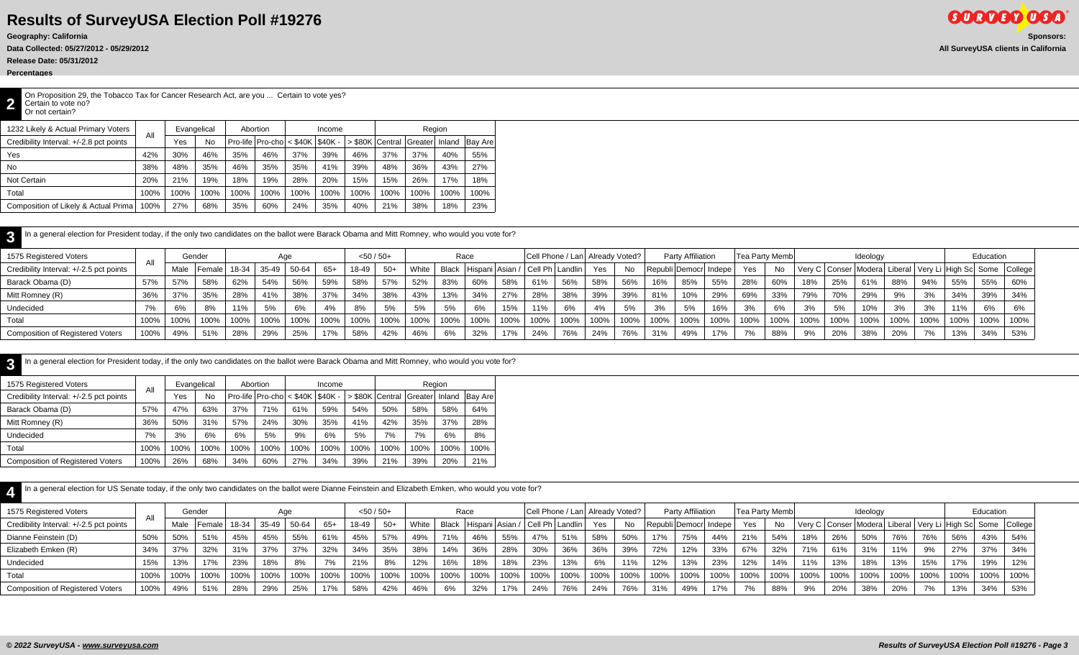**Release Date: 05/31/2012**

**Percentages**

**2** On Proposition 29, the Tobacco Tax for Cancer Research Act, are you ... Certain to vote yes? Certain to vote no? Or not certain?

| 1232 Likely & Actual Primary Voters     |      | Evangelical |      |      | Abortion                               |      | Income |                  |      | Region         |      |         |
|-----------------------------------------|------|-------------|------|------|----------------------------------------|------|--------|------------------|------|----------------|------|---------|
| Credibility Interval: +/-2.8 pct points | All  | Yes         | No   |      | Pro-life $ Pro-cho  < $40K$ $  $40K -$ |      |        | ⊳ \$80K lCentral |      | Greater Hnland |      | Bay Are |
| Yes                                     | 42%  | 30%         | 46%  | 35%  | 46%                                    | 37%  | 39%    | 46%              | 37%  | 37%            | 40%  | 55%     |
| No                                      | 38%  | 48%         | 35%  | 46%  | 35%                                    | 35%  | 41%    | 39%              | 48%  | 36%            | 43%  | 27%     |
| Not Certain                             | 20%  | 21%         | 19%  | 18%  | 19%                                    | 28%  | 20%    | 15%              | 15%  | 26%            | 17%  | 18%     |
| Total                                   | 100% | 100%        | 100% | 100% | 100%                                   | 100% | 100%   | 100%             | 100% | 100%           | 100% | 100%    |
| Composition of Likely & Actual Prima    | 100% | 27%         | 68%  | 35%  | 60%                                    | 24%  | 35%    | 40%              | 21%  | 38%            | 18%  | 23%     |

| In a general election for President today, if the only two candidates on the ballot were Barack Obama and Mitt Romney, who would you vote for? |      |      |        |       |       |       |       |              |       |       |      |      |      |      |                                             |      |           |                         |                          |      |                |              |         |      |                                                                         |      |      |         |           |      |
|------------------------------------------------------------------------------------------------------------------------------------------------|------|------|--------|-------|-------|-------|-------|--------------|-------|-------|------|------|------|------|---------------------------------------------|------|-----------|-------------------------|--------------------------|------|----------------|--------------|---------|------|-------------------------------------------------------------------------|------|------|---------|-----------|------|
| 1575 Registered Voters                                                                                                                         | All  |      | Gender |       |       | Age   |       | $<$ 50 / 50+ |       |       |      | Race |      |      | Cell Phone / Lan Already Voted?             |      |           |                         | <b>Party Affiliation</b> |      | Tea Party Memb |              |         |      | Ideology                                                                |      |      |         | Education |      |
| Credibility Interval: +/-2.5 pct points                                                                                                        |      | Male | Female | 18-34 | 35-49 | 50-64 | $65+$ | 18-49        | $50+$ | White |      |      |      |      | Black   Hispani   Asian / Cell Ph   Landlin | Yes  | <b>No</b> | Republi Democr   Indepe |                          |      | Yes            | $N_{\Omega}$ |         |      | Very C   Conser   Modera   Liberal   Very Li   High Sc   Some   College |      |      |         |           |      |
| Barack Obama (D)                                                                                                                               | 57%  | 57%  | 58%    | 62%   | 54%   | 56%   | 59%   | 58%          | 57%   | 52%   | 83%  | 60%  | 58%  | 61%  | 56%                                         | 58%  | 56%       | 16%                     | 85%                      | 55%  | 28%            | 60%          | 18%     | 25%  | 61%                                                                     | 88%  | 94%  | 55%     | 55%       | 60%  |
| Mitt Romney (R)                                                                                                                                | 36%  | 37%  | 35%    | 28%   | 41%   | 38%   | 37%   | 34%          | 38%   | 43%   | 13%  | 34%  | 27%  | 28%  | 38%                                         | 39%  | 39%       | 81%                     | 10%                      | 29%  | 69%            | 33%          | 79%     | 70%  | 29%                                                                     | 9%   | 3%   | 34%     | 39%       | 34%  |
| Undecided                                                                                                                                      |      | 6%   | 8%     | 11%   | 5%    |       | 4%    | 8%           | 5%    | 5%    | 5%   | 6%   | 15%  | 11%  |                                             | 4%   | 5%        | 3%                      | 5%                       | 16%  | 3%             | 6%           |         | 5%   | 10%                                                                     | 3%   | 3%   | 11%     | 6%        | 6%   |
| Total                                                                                                                                          |      | 100% | 100%   | 100%  | 100%  | 100%  | 100%  | 100%         | 100%  | 100%  | 100% | 100% | 100% | 100% | 100%                                        | 100% | 100%      | 100%                    | 100%                     | 100% | 100%           | 100%         | $100\%$ | 100% | 100%                                                                    | 100% | 100% | $100\%$ | 100%      | 100% |
| <b>Composition of Registered Voters</b>                                                                                                        | 100% | 49%  | 51%    | 28%   | 29%   | 25%   | 17%   | 58%          | 42%   | 46%   | 6%   | 32%  | 17%  | 24%  | 76%                                         | 24%  | 76%       | 31%                     | 49%                      | 17%  | 7%             | 88%          | 9%      | 20%  | 38%                                                                     | 20%  | 7%   | 13%     | 34%       | 53%  |

| In a general election for President today, if the only two candidates on the ballot were Barack Obama and Mitt Romney, who would you vote for? |      |             |      |      |                                    |      |        |      |      |                         |        |                |
|------------------------------------------------------------------------------------------------------------------------------------------------|------|-------------|------|------|------------------------------------|------|--------|------|------|-------------------------|--------|----------------|
| 1575 Registered Voters                                                                                                                         | All  | Evangelical |      |      | Abortion                           |      | Income |      |      | Region                  |        |                |
| Credibility Interval: +/-2.5 pct points                                                                                                        |      | Yes         | No   |      | Pro-life $ Proof  < $40K   $40K -$ |      |        |      |      | > \$80K Central Greater | Inland | <b>Bay Are</b> |
| Barack Obama (D)                                                                                                                               | 57%  | 47%         | 63%  | 37%  | 71%                                | 61%  | 59%    | 54%  | 50%  | 58%                     | 58%    | 64%            |
| Mitt Romney (R)                                                                                                                                | 36%  | 50%         | 31%  | 57%  | 24%                                | 30%  | 35%    | 41%  | 42%  | 35%                     | 37%    | 28%            |
| Undecided                                                                                                                                      | 7%   | 3%          | 6%   | 6%   | 5%                                 | 9%   | 6%     | 5%   | 7%   | 7%                      | 6%     | 8%             |
| Total                                                                                                                                          | 100% | 100%        | 100% | 100% | 100%                               | 100% | 100%   | 100% | 100% | 100%                    | 100%   | 100%           |
| <b>Composition of Registered Voters</b>                                                                                                        | 100% | 26%         | 68%  | 34%  | 60%                                | 27%  | 34%    | 39%  | 21%  | 39%                     | 20%    | 21%            |

| In a general election for US Senate today, if the only two candidates on the ballot were Dianne Feinstein and Elizabeth Emken, who would you vote for? |      |      |        |       |       |       |       |              |       |       |      |                                   |      |      |                                   |      |      |      |                           |      |                        |      |      |                                                                         |          |      |         |      |           |      |
|--------------------------------------------------------------------------------------------------------------------------------------------------------|------|------|--------|-------|-------|-------|-------|--------------|-------|-------|------|-----------------------------------|------|------|-----------------------------------|------|------|------|---------------------------|------|------------------------|------|------|-------------------------------------------------------------------------|----------|------|---------|------|-----------|------|
| 1575 Registered Voters                                                                                                                                 |      |      | Gender |       |       | Age   |       | $< 50 / 50+$ |       |       |      | Race                              |      |      | Cell Phone / Lan   Already Voted? |      |      |      | Party Affiliation         |      | <b>Tea Party Membl</b> |      |      |                                                                         | Ideology |      |         |      | Education |      |
| Credibility Interval: +/-2.5 pct points                                                                                                                |      | Male | Female | 18-34 | 35-49 | 50-64 | $65+$ | 18-49        | $50+$ | White |      | Black   Hispani   Asian / Cell Ph |      |      | Landlin                           | Yes  | No   |      | Republi   Democr   Indepe |      | Yes                    | No   |      | Very C   Conser   Modera   Liberal   Very Li   High Sc   Some   College |          |      |         |      |           |      |
| Dianne Feinstein (D)                                                                                                                                   | 50%  | 50%  | 51%    | 45%   | 45%   | 55%   | 61%   | 45%          | 57%   | 49%   | 71%  | 46%                               | 55%  | 47%  | 51%                               | 58%  | 50%  | 17%  | 75%                       | 44%  | 21%                    | 54%  | 18%  | 26%                                                                     | 50%      | 76%  | 76%     | 56%  | 43%       | 54%  |
| Elizabeth Emken (R)                                                                                                                                    | 34%  | 37%  | 32%    | 31%   | 37%   | 37%   | 32%   | 34%          | 35%   | 38%   | 14%  | 36%                               | 28%  | 30%  | 36%                               | 36%  | 39%  | 72%  | 12%                       | 33%  | 67%                    | 32%  | 71%  | 61%                                                                     | 31%      | 11%  | 9%      | 27%  | 37%       | 34%  |
| Undecided                                                                                                                                              | 15%  | 13%  | 17%    | 23%   | 18%   | 8%    |       | 21%          | 8%    | 12%   | 16%  | 18%                               | 18%  | 23%  | 13%                               | 6%   | 11%  | 12%  | 13%                       | 23%  | 12%                    | 14%  | 11%  | 13%                                                                     | 18%      | 13%  | 15%     | 17%  | 19%       | 12%  |
| Total                                                                                                                                                  | 100% | 100% | 100%   | 100%  | 100%  | 100%  | 100%  | 100%         | 100%  | 100%  | 100% | 100%                              | 100% | 100% | 100%                              | 100% | 100% | 100% | 100%                      | 100% | 100%                   | 100% | 100% | 100%                                                                    | 100%     | 100% | $100\%$ | 100% | 100%      | 100% |
| <b>Composition of Registered Voters</b>                                                                                                                | 100% | 49%  | 51%    | 28%   | 29%   | 25%   | 17%   | 58%          | 42%   | 46%   | 6%   | 32%                               | 17%  | 24%  | 76%                               | 24%  | 76%  | 31%  | 49%                       | 17%  | 7%                     | 88%  | 9%   | 20%                                                                     | 38%      | 20%  |         | 13%  | 34%       | 53%  |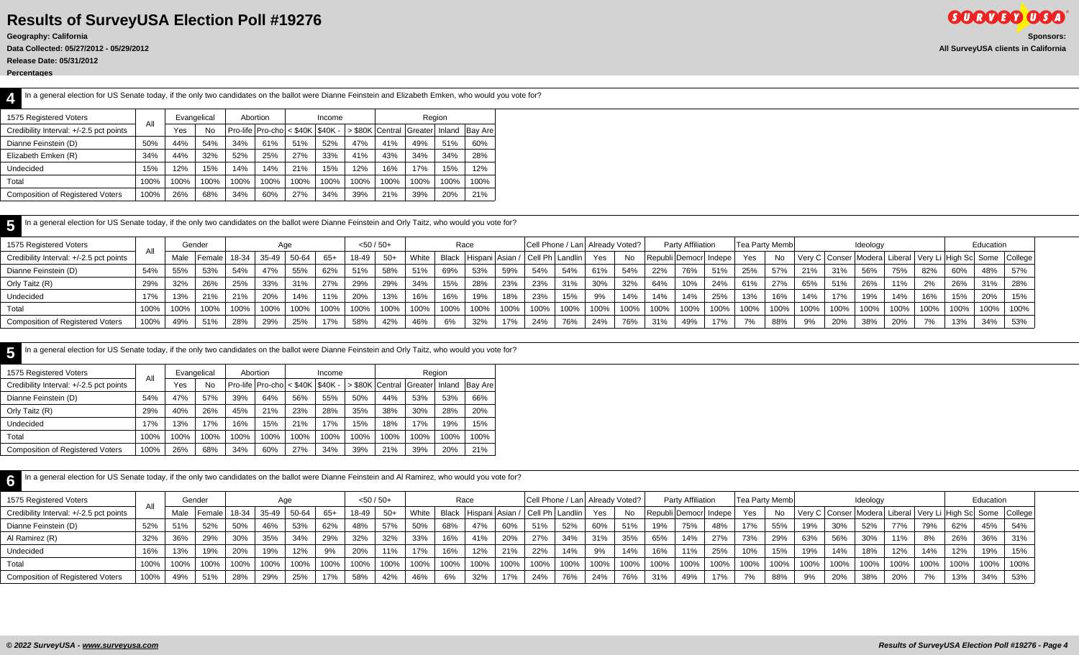**Release Date: 05/31/2012**

**Percentages**

| In a general election for US Senate today, if the only two candidates on the ballot were Dianne Feinstein and Elizabeth Emken, who would you vote for? |     |     |             |          |        |  |        |                                                                                         |  |
|--------------------------------------------------------------------------------------------------------------------------------------------------------|-----|-----|-------------|----------|--------|--|--------|-----------------------------------------------------------------------------------------|--|
| 1575 Registered Voters                                                                                                                                 |     |     | Evangelical | Abortion | Income |  | Region |                                                                                         |  |
| Credibility Interval: +/-2.5 pct points                                                                                                                | All | Yes | No          |          |        |  |        | Pro-life   Pro-cho   < \$40K   \$40K -   > \$80K   Central   Greater   Inland   Bay Are |  |

| Dianne Feinstein (D)                    | 50%  | 44%  | 54%  | 34%  | 61%  | 51%  | 52%  | 47%  | 41%  | 49%  | 51%  | 60%  |
|-----------------------------------------|------|------|------|------|------|------|------|------|------|------|------|------|
| Elizabeth Emken (R)                     | 34%  | 44%  | 32%  | 52%  | 25%  | 27%  | 33%  | 41%  | 43%  | 34%  | 34%  | 28%  |
| Undecided                               | 15%  | 12%  | 15%  | 14%  | 14%  | 21%  | 15%  | 12%  | 16%  | 7%   | 15%  | 12%  |
| Total                                   | 100% | 100% | 100% | 100% | 100% | 100% | 100% | 100% | 100% | 100% | 100% | 100% |
| <b>Composition of Registered Voters</b> | 100% | 26%  | 68%  | 34%  | 60%  | 27%  | 34%  | 39%  | 21%  | 39%  | 20%  | 21%  |
|                                         |      |      |      |      |      |      |      |      |      |      |      |      |

|  | In a general election for US Senate today, if the only two candidates on the ballot were Dianne Feinstein and Orly Taitz, who would you vote for? |  |
|--|---------------------------------------------------------------------------------------------------------------------------------------------------|--|
|--|---------------------------------------------------------------------------------------------------------------------------------------------------|--|

| 1575 Registered Voters                  |      |      | Gender        |         |         |       |       | $<$ 50 / 50+ |       |       |      | Race                                        |         | Cell Phone / Lan   Already Voted? |         |      |              |      | <b>Party Affiliation</b> |      |      | <b>Tea Party Memb</b> |      |      | Ideology |      |      |      | Education |                                                                         |
|-----------------------------------------|------|------|---------------|---------|---------|-------|-------|--------------|-------|-------|------|---------------------------------------------|---------|-----------------------------------|---------|------|--------------|------|--------------------------|------|------|-----------------------|------|------|----------|------|------|------|-----------|-------------------------------------------------------------------------|
| Credibility Interval: +/-2.5 pct points | All  | Male | Female  18-34 |         | 35-49   | 50-64 | $65+$ | 18-49        | $50+$ | White |      | Black   Hispani   Asian / Cell Ph   Landlin |         |                                   |         | Yes  | $N_{\Omega}$ |      | Republi Democr Indepe    |      | Yes  | No                    |      |      |          |      |      |      |           | Very C   Conser   Modera   Liberal   Very Li   High Sc   Some   College |
| Dianne Feinstein (D)                    | 54%  | 55%  | 53%           | 54%     | 47%     | 55%   | 62%   | 51%          | 58%   | 51%   | 69%  | 53%                                         | 59%     | 54%                               | 54%     | 61%  | 54%          | 22%  | 76%                      | 51%  | 25%  | 57%                   |      |      | 56%      | 75%  | 82%  | 60%  | 48%       | 57%                                                                     |
| Orly Taitz (R)                          | 29%  | 32%  | 26%           | 25%     | 33%     | 31%   | 27%   | 29%          | 29%   | 34%   | 15%  | 28%                                         | 23%     | 23%                               |         | 30%  | 32%          | 64%  | 10%                      | 24%  | 61%  | 27%                   | 65%  | 51%  | 26%      | 11%  | 2%   | 26%  | 31%       | 28%                                                                     |
| Undecided                               | 17%  | 13%  | 21%           | 21%     | 20%     | 14%   | 11%   | 20%          | 13%   | 16%   | 16%  | 19%                                         | 18%     | 23%                               | 15%     |      | 14%          | 14%  | 14%                      | 25%  | 13%  | 16%                   | 14%  | 17%  | 19%      | 14%  | 16%  | 15%  | 20%       | 15%                                                                     |
| Total                                   | 100% | 100% | 100%          | $100\%$ | $100\%$ | 100%  | 100%  | 100%         | 100%  | 100%  | 100% | 100%                                        | $100\%$ | 100%                              | $100\%$ | 100% | 100%         | 100% | 100%                     | 100% | 100% | 100%                  | 100% | 100% | 100%     | 100% | 100% | 100% | 100%      | 100%                                                                    |
| <b>Composition of Registered Voters</b> | 100% |      | 51%           | 28%     |         | 25%   | 17%   | 58%          | 42%   | 46%   | 6%   | 32%                                         | 17%     | 24%                               | 76%     | 24%  | 76%          | 31%  | 49%                      | 17%  |      | 88%                   | 9%   | 20%  | 38%      | 20%  | 7%   | 13%  | 34%       | 53%                                                                     |

| 1575 Registered Voters                  | All  | Evangelical |      |                                                      | Abortion |      | Income |      |      |      | Region |                                     |
|-----------------------------------------|------|-------------|------|------------------------------------------------------|----------|------|--------|------|------|------|--------|-------------------------------------|
| Credibility Interval: +/-2.5 pct points |      | Yes         | No.  | $ $ Pro-life $ $ Pro-cho $ $ < \$40K $ $ \$40K - $ $ |          |      |        |      |      |      |        | S80K Central Greater Inland Bay Are |
| Dianne Feinstein (D)                    | 54%  | 47%         | 57%  | 39%                                                  | 64%      | 56%  | 55%    | 50%  | 44%  | 53%  | 53%    | 66%                                 |
| Orly Taitz (R)                          | 29%  | 40%         | 26%  | 45%                                                  | 21%      | 23%  | 28%    | 35%  | 38%  | 30%  | 28%    | 20%                                 |
| Undecided                               | 17%  | 13%         | 17%  | 16%                                                  | 15%      | 21%  | 17%    | 15%  | 18%  | 17%  | 19%    | 15%                                 |
| Total                                   | 100% | 100%        | 100% | 100%                                                 | 100%     | 100% | 100%   | 100% | 100% | 100% | 100%   | 100%                                |
| <b>Composition of Registered Voters</b> | 100% | 26%         | 68%  | 34%                                                  | 60%      | 27%  | 34%    | 39%  | 21%  | 39%  | 20%    | 21%                                 |
|                                         |      |             |      |                                                      |          |      |        |      |      |      |        |                                     |

| 1575 Registered Voters                  | All  |      | Gender     |       | Aae   |       |       | $< 50 / 50+$ |       |       |         | Race                                          |          | Cell Phone / Lan Already Voted? |      |      |           |      | Party Affiliation       |      | Tea Party Memb |      |      |      | Ideology |      |      |         | Education |                                                                         |
|-----------------------------------------|------|------|------------|-------|-------|-------|-------|--------------|-------|-------|---------|-----------------------------------------------|----------|---------------------------------|------|------|-----------|------|-------------------------|------|----------------|------|------|------|----------|------|------|---------|-----------|-------------------------------------------------------------------------|
| Credibility Interval: +/-2.5 pct points |      | Male | l Female l | 18-34 | 35-49 | 50-64 | $65+$ | 18-49        | $50+$ | White |         | Black   Hispani   Asian /   Cell Ph   Landlin |          |                                 |      | Yes  | <b>No</b> |      | Republi Democr   Indepe |      | Yes            | No.  |      |      |          |      |      |         |           | Very C   Conser   Modera   Liberal   Very Li   High Sc   Some   College |
| Dianne Feinstein (D)                    | 52%  | 51%  | 52%        | 50%   | 46%   | 53%   | 62%   | 48%          | 57%   | 50%   | 68%     | 47%                                           | 60%      | 51%                             | 52%  | 60%  | 51%       | 19%  | 75%                     | 48%  | 17%            | 55%  | 19%  | 30%  | 52%      | 77%  | 79%  | 62%     | 45%       | 54%                                                                     |
| Al Ramirez (R)                          | 32%  | 36%  | 29%        | 30%   | 35%   | 34%   | 29%   | 32%          | 32%   | 33%   | 16%     | 41%                                           | 20%      | 27%                             | 34%  | 31%  | 35%       | 65%  | 14%                     | 27%  | 73%            | 29%  | 63%  | 56%  | 30%      | 11%  | 8%   | 26%     | 36%       | 31%                                                                     |
| Undecided                               | 16%  | 13%  |            | 20%   | 19%   | 12%   | 9%    | 20%          | 11%   | 17%   | 16%     | 12%                                           | 21%      | 22%                             | 14%  | 9%   | 14%       | 16%  | 11%                     | 25%  | 10%            | 15%  | 19%  | 14%  | 18%      | 12%  | 14%  | 12%     | 19%       | 15%                                                                     |
| Total                                   | 100% | 100% | 100%       | 100%  | 100%  | 100%  | 100%  | 100%         | 100%  | 100%  | $100\%$ | 100%                                          | $ 100\%$ | 100%                            | 100% | 100% | 100%      | 100% | 100%                    | 100% | $100\%$        | 100% | 100% | 100% | 100%     | 100% | 100% | $100\%$ | $100\%$   | 100%                                                                    |
| <b>Composition of Registered Voters</b> | 100% | 49%  | 51%        | 28%   | 29%   | 25%   | 17%   | 58%          | 42%   | 46%   | 6%      | 32%                                           | 17%      | 24%                             | 76%  | 24%  | 76%       | 31%  | 49%                     | 17%  | 7%             | 88%  | 9%   | 20%  | 38%      | 20%  | 7%   | 13%     | 34%       | 53%                                                                     |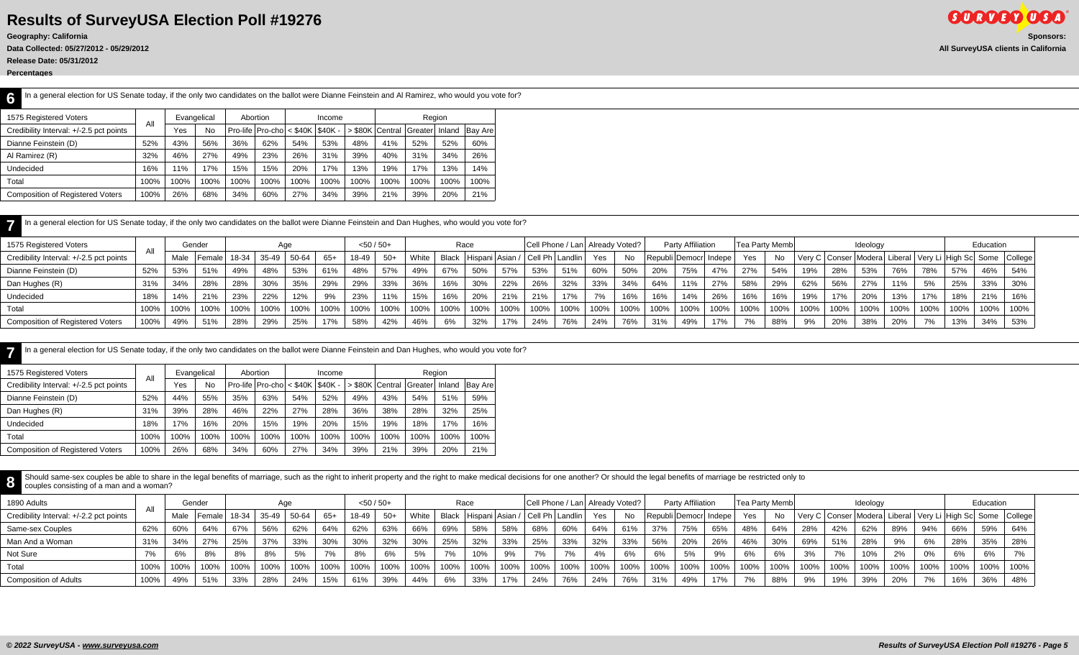**Release Date: 05/31/2012**

**Percentages**

| In a general election for US Senate today, if the only two candidates on the ballot were Dianne Feinstein and AI Ramirez, who would you vote for?<br>6 |      |      |             |      |                                    |      |        |      |      |                         |        |                 |
|--------------------------------------------------------------------------------------------------------------------------------------------------------|------|------|-------------|------|------------------------------------|------|--------|------|------|-------------------------|--------|-----------------|
| 1575 Registered Voters                                                                                                                                 | All  |      | Evangelical |      | Abortion                           |      | Income |      |      | Region                  |        |                 |
| Credibility Interval: +/-2.5 pct points                                                                                                                |      | Yes  | <b>No</b>   |      | Pro-life $ Proof  < $40K   $40K -$ |      |        |      |      | > \$80K Central Greater | Inland | <b>Bay Arel</b> |
| Dianne Feinstein (D)                                                                                                                                   | 52%  | 43%  | 56%         | 36%  | 62%                                | 54%  | 53%    | 48%  | 41%  | 52%                     | 52%    | 60%             |
| Al Ramirez (R)                                                                                                                                         | 32%  | 46%  | 27%         | 49%  | 23%                                | 26%  | 31%    | 39%  | 40%  | 31%                     | 34%    | 26%             |
| <b>Undecided</b>                                                                                                                                       | 16%  | 11%  | 17%         | 15%  | 15%                                | 20%  | 17%    | 3%   | 19%  | 17%                     | 13%    | 14%             |
| Total                                                                                                                                                  | 100% | 100% | 100%        | 100% | 100%                               | 100% | 100%   | 100% | 100% | 100%                    | 100%   | 100%            |
| <b>Composition of Registered Voters</b>                                                                                                                | 100% | 26%  | 68%         | 34%  | 60%                                | 27%  | 34%    | 39%  | 21%  | 39%                     | 20%    | 21%             |

| In a general election for US Senate today, if the only two candidates on the ballot were Dianne Feinstein and Dan Hughes, who would you vote for? |  |
|---------------------------------------------------------------------------------------------------------------------------------------------------|--|
|---------------------------------------------------------------------------------------------------------------------------------------------------|--|

| 1575 Registered Voters                  |      |      | Gender   |         |       |       |       | $< 50 / 50+$ |       |       |      | Race |                       |      | Cell Phone / Lan  Already Voted? |      |      |      | Party Affiliation     |      | <b>Tea Party Memb</b> |              |                |      | Ideology |      |      |      | Education |                                                                         |
|-----------------------------------------|------|------|----------|---------|-------|-------|-------|--------------|-------|-------|------|------|-----------------------|------|----------------------------------|------|------|------|-----------------------|------|-----------------------|--------------|----------------|------|----------|------|------|------|-----------|-------------------------------------------------------------------------|
| Credibility Interval: +/-2.5 pct points | All  | Male | l Female | $18-34$ | 35-49 | 50-64 | $65+$ | 18-49        | $50+$ | White |      |      | Black Hispani Asian / |      | / Cell Ph   Landlin              | Yes  | No   |      | Republi Democr Indepe |      | Yes                   | $N_{\alpha}$ |                |      |          |      |      |      |           | Very C   Conser   Modera   Liberal   Very Li   High Sc   Some   College |
| Dianne Feinstein (D)                    | 52%  | 53%  | 51%      | 49%     | 48%   | 53%   | 61%   | 48%          | 57%   | 49%   | 67%  | 50%  | 57%                   | 53%  |                                  | 60%  | 50%  | 20%  | 75%                   | 47%  | 27%                   | 54%          |                | 28%  | 53%      | 76%  | 78%  | 57%  | 46%       | 54%                                                                     |
| Dan Hughes (R)                          | 31%  | 34%  | 28%      | 28%     | 30%   | 35%   | 29%   | 29%          | 33%   | 36%   | 16%  | 30%  | 22%                   | 26%  | 32%                              | 33%  | 34%  | 64%  | 11%                   | 27%  | 58%                   | 29%          | 62%            | 56%  | 27%      | 11%  | 5%   | 25%  | 33%       | 30%                                                                     |
| Undecided                               | 18%  | 14%  | 21%      | 23%     | 22%   | 12%   | 9%    | 23%          | 11%   | 15%   | 16%  | 20%  | 21%                   | 21%  | 17%                              |      | 16%  | 16%  | 14%                   | 26%  | 16%                   | 16%          | 19%            | 17%  | 20%      | 13%  | 17%  | 18%  | 21%       | 16%                                                                     |
| Total                                   | 100% | 100% | 100%     | 100%    | 100%  | 100%  | 100%  | 100%         | 100%  | 100%  | 100% | 100% | 100%                  | 100% |                                  | 100% | 100% | 100% | 100%                  | 100% | 100%                  | 100%         | 100%           | 100% | 100%     | 100% | 100% | 100% | 100%      | 100%                                                                    |
| <b>Composition of Registered Voters</b> | 100% | 49%  | 51%      | 28%     | 29%   | 25%   | 17%   | 58%          | 42%   | 46%   | 6%   | 32%  | 17%                   | 24%  |                                  | 24%  | 76%  | 31%  | 49%                   | 17%  | 170                   | 88%          | Q <sub>0</sub> | 20%  | 38%      | 20%  | 7%   | 13%  | 34%       | 53%                                                                     |

| In a general election for US Senate today, if the only two candidates on the ballot were Dianne Feinstein and Dan Hughes, who would you vote for? |      |      |             |      |                                      |      |        |                 |      |             |        |                |
|---------------------------------------------------------------------------------------------------------------------------------------------------|------|------|-------------|------|--------------------------------------|------|--------|-----------------|------|-------------|--------|----------------|
| 1575 Registered Voters                                                                                                                            | All  |      | Evangelical |      | Abortion                             |      | Income |                 |      | Region      |        |                |
| Credibility Interval: +/-2.5 pct points                                                                                                           |      | Yes  | No          |      | Pro-life $ Proof < $40K$ $ $ \$40K - |      |        | > \$80K Central |      | l Greater l | Inland | <b>Bay Are</b> |
| Dianne Feinstein (D)                                                                                                                              | 52%  | 44%  | 55%         | 35%  | 63%                                  | 54%  | 52%    | 49%             | 43%  | 54%         | 51%    | 59%            |
| Dan Hughes (R)                                                                                                                                    | 31%  | 39%  | 28%         | 46%  | 22%                                  | 27%  | 28%    | 36%             | 38%  | 28%         | 32%    | 25%            |
| <b>Undecided</b>                                                                                                                                  | 18%  | 17%  | 16%         | 20%  | 15%                                  | 19%  | 20%    | 15%             | 19%  | 18%         | 17%    | 16%            |
| Total                                                                                                                                             | 100% | 100% | 100%        | 100% | 100%                                 | 100% | 100%   | 100%            | 100% | 100%        | 100%   | 100%           |
| <b>Composition of Registered Voters</b>                                                                                                           | 100% | 26%  | 68%         | 34%  | 60%                                  | 27%  | 34%    | 39%             | 21%  | 39%         | 20%    | 21%            |

Should same-sex couples be able to share in the legal benefits of marriage, such as the right to inherit property and the right to make medical decisions for one another? Or should the legal benefits of marriage be restric couples consisting of a man and a woman?

| 1890 Adults                             |      |      | Gender   |         |       |       |      | $< 50 / 50+$ |       |                  |       | Race              |      |      | Cell Phone / Lan   Already Voted? |      |           |      | Party Affiliation         |         | Tea Party Memb     |      |      |      | Ideology                                                                |      |                          |      | Education |      |
|-----------------------------------------|------|------|----------|---------|-------|-------|------|--------------|-------|------------------|-------|-------------------|------|------|-----------------------------------|------|-----------|------|---------------------------|---------|--------------------|------|------|------|-------------------------------------------------------------------------|------|--------------------------|------|-----------|------|
| Credibility Interval: +/-2.2 pct points | All  | Male | I Female | $18-34$ | 35-49 | 50-64 | 65+  | 18-49        | $50+$ | White            | Black | Hispani   Asian / |      |      | /   Cell Ph   Landlin             | Yes  | <b>No</b> |      | Republi   Democr   Indepe |         | Yes                | No.  |      |      | Very C   Conser   Modera   Liberal   Very Li   High Sc   Some   College |      |                          |      |           |      |
| Same-sex Couples                        | 62%  | 60%  | 64%      | 67%     | 56%   | 62%   | 64%  | 62%          | 63%   | 66%              | 69%   | 58%               | 58%  | 68%  | 60%                               | 64%  | 61%       | 37%  | 75%                       | 65%     | 48%                | 64%  | 28%  | 42%  | 62%                                                                     | 89%  | 94%                      | 66%  | 59%       | 64%  |
| Man And a Woman                         | 31%  | 34%  | 27%      | 25%     | 37%   | 33%   | 30%  | 30%          | 32%   | 30%              | 25%   | 32%               | 33%  | 25%  | 33%                               | 32%  | 33%       | 56%  | 20%                       | 26%     | 46%                | 30%  | 69%  | 51%  | 28%                                                                     | 9%   | 6%                       | 28%  | 35%       | 28%  |
| Not Sure                                | 7%   | 6%   | 8%       | 8%      | 8%    | 5%    | 7%   | 8%           | 6%    | 5%               |       | 10%               | 9%   | 7%   | 7%                                | 4%   | 6%        | 6%   | 5%                        | 9%      | 6%                 |      | 3%   | 7%   | 10%                                                                     |      | 0%                       | 6%   | 6%        | 7%   |
| Total                                   | 100% | 100% | 100%     | 100%    | 100%  | 100%  | 100% | 100%         | 100%  | 100 <sup>o</sup> | 100%  | 100%              | 100% | 100% | 100%                              | 100% | 100%      | 100% | 100%                      | $100\%$ | $^{\prime}$ 100% . | 100% | 100% | 100% | 100%                                                                    | 100% | 100%                     | 100% | 100%      | 100% |
| <b>Composition of Adults</b>            | 100% | 49%  | 51%      | 33%     | 28%   | 24%   | 15%  | 61%          | 39%   | 44%              | 6%    | 33%               | 17%  | 24%  |                                   | 24%  | 76%       | 31%  | 49%                       | 17%     | 7%                 | 88%  | 9%   | 19%  | 39%                                                                     | 20%  | $\overline{\phantom{a}}$ | 16%  | 36%       | 48%  |